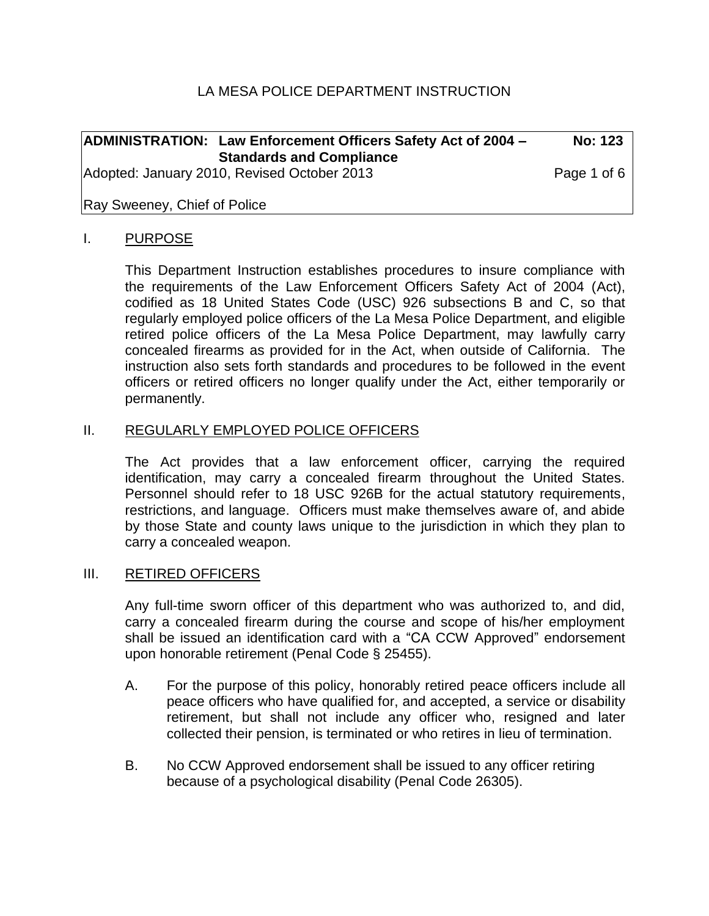## LA MESA POLICE DEPARTMENT INSTRUCTION

|                                             | <b>ADMINISTRATION: Law Enforcement Officers Safety Act of 2004 -</b> | <b>No: 123</b> |
|---------------------------------------------|----------------------------------------------------------------------|----------------|
|                                             | <b>Standards and Compliance</b>                                      |                |
| Adopted: January 2010, Revised October 2013 |                                                                      | Page 1 of 6    |

## Ray Sweeney, Chief of Police

#### I. PURPOSE

This Department Instruction establishes procedures to insure compliance with the requirements of the Law Enforcement Officers Safety Act of 2004 (Act), codified as 18 United States Code (USC) 926 subsections B and C, so that regularly employed police officers of the La Mesa Police Department, and eligible retired police officers of the La Mesa Police Department, may lawfully carry concealed firearms as provided for in the Act, when outside of California. The instruction also sets forth standards and procedures to be followed in the event officers or retired officers no longer qualify under the Act, either temporarily or permanently.

#### II. REGULARLY EMPLOYED POLICE OFFICERS

The Act provides that a law enforcement officer, carrying the required identification, may carry a concealed firearm throughout the United States. Personnel should refer to 18 USC 926B for the actual statutory requirements, restrictions, and language. Officers must make themselves aware of, and abide by those State and county laws unique to the jurisdiction in which they plan to carry a concealed weapon.

#### III. RETIRED OFFICERS

Any full-time sworn officer of this department who was authorized to, and did, carry a concealed firearm during the course and scope of his/her employment shall be issued an identification card with a "CA CCW Approved" endorsement upon honorable retirement (Penal Code § 25455).

- A. For the purpose of this policy, honorably retired peace officers include all peace officers who have qualified for, and accepted, a service or disability retirement, but shall not include any officer who, resigned and later collected their pension, is terminated or who retires in lieu of termination.
- B. No CCW Approved endorsement shall be issued to any officer retiring because of a psychological disability (Penal Code 26305).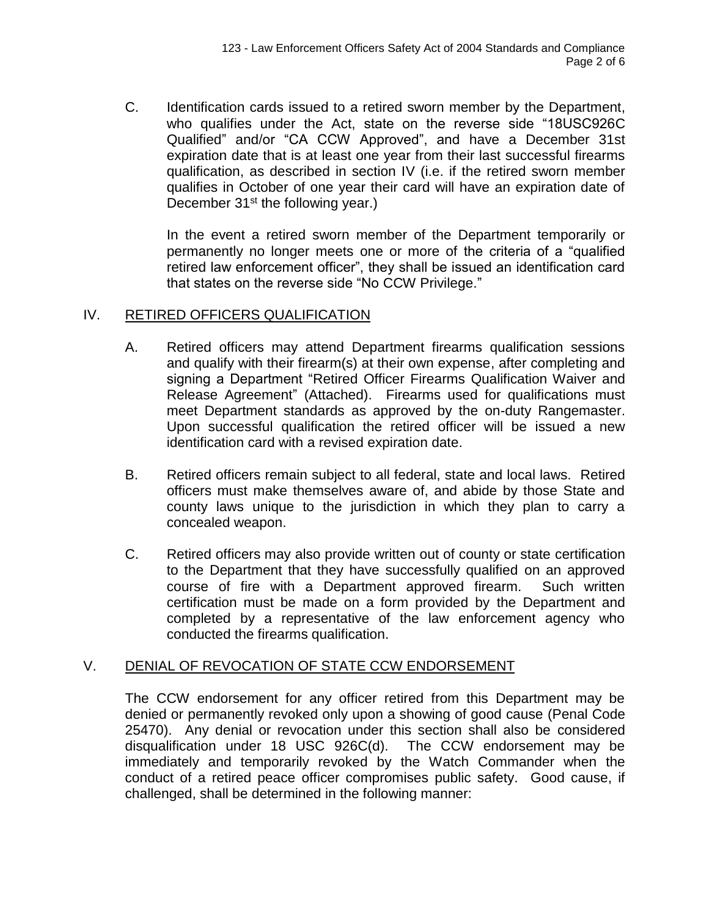C. Identification cards issued to a retired sworn member by the Department, who qualifies under the Act, state on the reverse side "18USC926C Qualified" and/or "CA CCW Approved", and have a December 31st expiration date that is at least one year from their last successful firearms qualification, as described in section IV (i.e. if the retired sworn member qualifies in October of one year their card will have an expiration date of December  $31^{st}$  the following year.)

In the event a retired sworn member of the Department temporarily or permanently no longer meets one or more of the criteria of a "qualified retired law enforcement officer", they shall be issued an identification card that states on the reverse side "No CCW Privilege."

## IV. RETIRED OFFICERS QUALIFICATION

- A. Retired officers may attend Department firearms qualification sessions and qualify with their firearm(s) at their own expense, after completing and signing a Department "Retired Officer Firearms Qualification Waiver and Release Agreement" (Attached). Firearms used for qualifications must meet Department standards as approved by the on-duty Rangemaster. Upon successful qualification the retired officer will be issued a new identification card with a revised expiration date.
- B. Retired officers remain subject to all federal, state and local laws. Retired officers must make themselves aware of, and abide by those State and county laws unique to the jurisdiction in which they plan to carry a concealed weapon.
- C. Retired officers may also provide written out of county or state certification to the Department that they have successfully qualified on an approved course of fire with a Department approved firearm. Such written certification must be made on a form provided by the Department and completed by a representative of the law enforcement agency who conducted the firearms qualification.

# V. DENIAL OF REVOCATION OF STATE CCW ENDORSEMENT

The CCW endorsement for any officer retired from this Department may be denied or permanently revoked only upon a showing of good cause (Penal Code 25470). Any denial or revocation under this section shall also be considered disqualification under 18 USC 926C(d). The CCW endorsement may be immediately and temporarily revoked by the Watch Commander when the conduct of a retired peace officer compromises public safety. Good cause, if challenged, shall be determined in the following manner: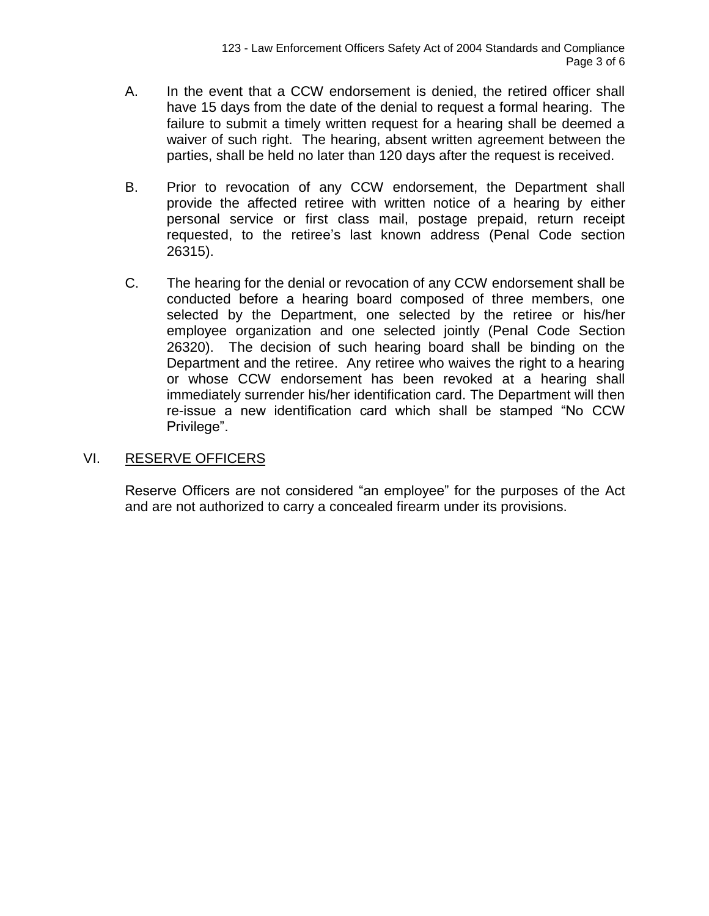- A. In the event that a CCW endorsement is denied, the retired officer shall have 15 days from the date of the denial to request a formal hearing. The failure to submit a timely written request for a hearing shall be deemed a waiver of such right. The hearing, absent written agreement between the parties, shall be held no later than 120 days after the request is received.
- B. Prior to revocation of any CCW endorsement, the Department shall provide the affected retiree with written notice of a hearing by either personal service or first class mail, postage prepaid, return receipt requested, to the retiree's last known address (Penal Code section 26315).
- C. The hearing for the denial or revocation of any CCW endorsement shall be conducted before a hearing board composed of three members, one selected by the Department, one selected by the retiree or his/her employee organization and one selected jointly (Penal Code Section 26320). The decision of such hearing board shall be binding on the Department and the retiree. Any retiree who waives the right to a hearing or whose CCW endorsement has been revoked at a hearing shall immediately surrender his/her identification card. The Department will then re-issue a new identification card which shall be stamped "No CCW Privilege".

## VI. RESERVE OFFICERS

Reserve Officers are not considered "an employee" for the purposes of the Act and are not authorized to carry a concealed firearm under its provisions.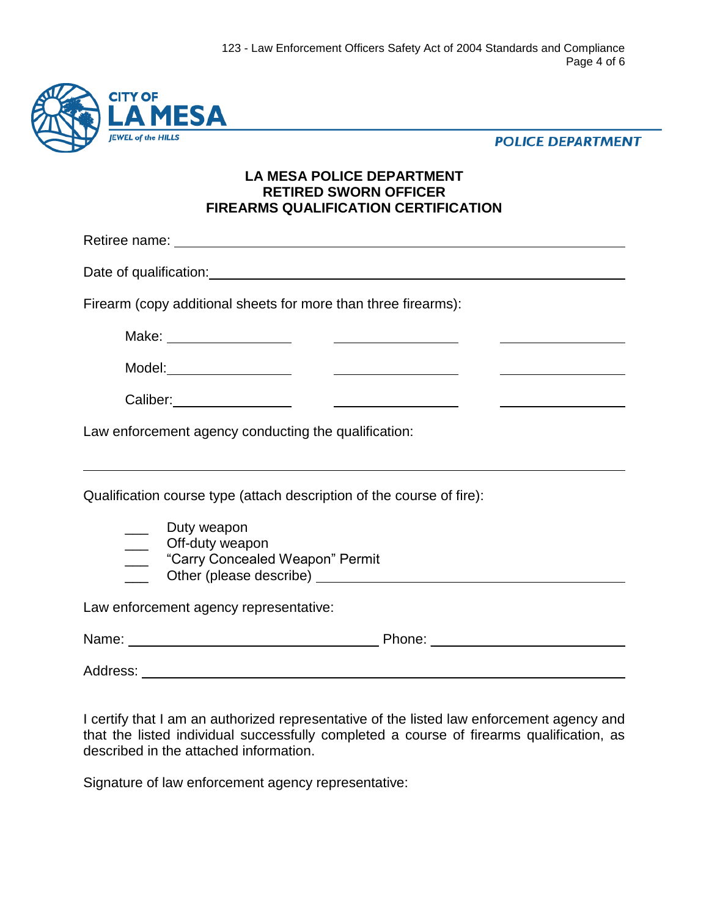

**POLICE DEPARTMENT** 

## **LA MESA POLICE DEPARTMENT RETIRED SWORN OFFICER FIREARMS QUALIFICATION CERTIFICATION**

Retiree name: Date of qualification: **Date of qualification:** Firearm (copy additional sheets for more than three firearms): Make: Model:\_\_\_\_\_\_\_\_\_\_\_\_\_\_\_\_\_\_\_\_\_\_\_\_ Caliber: <u> The Communication of the Communication</u> Law enforcement agency conducting the qualification: Qualification course type (attach description of the course of fire): \_\_\_ Duty weapon \_\_\_ Off-duty weapon \_\_\_ "Carry Concealed Weapon" Permit Other (please describe) and the state of the state of the state of the state of the state of the state of the state of the state of the state of the state of the state of the state of the state of the state of the state of Law enforcement agency representative: Name: Phone: \_\_\_\_\_\_\_\_\_\_\_\_\_\_\_\_\_\_ Address: \_\_\_\_\_\_\_\_\_\_\_

I certify that I am an authorized representative of the listed law enforcement agency and that the listed individual successfully completed a course of firearms qualification, as described in the attached information.

Signature of law enforcement agency representative: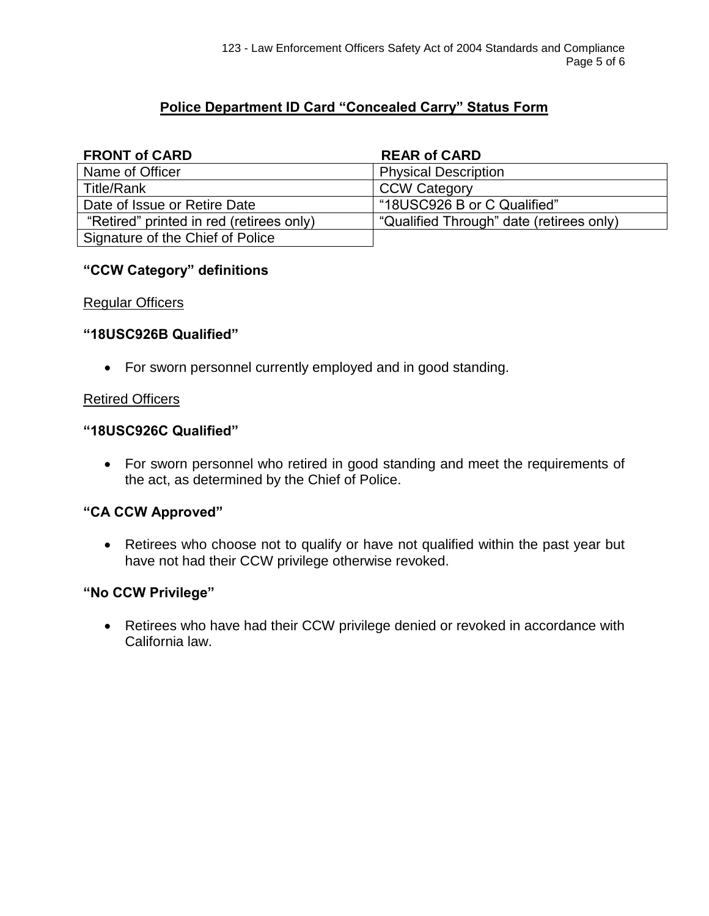# **Police Department ID Card "Concealed Carry" Status Form**

### **FRONT of CARD** REAR of CARD

| Name of Officer                          | <b>Physical Description</b>              |
|------------------------------------------|------------------------------------------|
| Title/Rank                               | <b>CCW Category</b>                      |
| Date of Issue or Retire Date             | "18USC926 B or C Qualified"              |
| "Retired" printed in red (retirees only) | "Qualified Through" date (retirees only) |
| Signature of the Chief of Police         |                                          |

## **"CCW Category" definitions**

#### Regular Officers

#### **"18USC926B Qualified"**

 $\bullet$  For sworn personnel currently employed and in good standing.

## Retired Officers

#### **"18USC926C Qualified"**

• For sworn personnel who retired in good standing and meet the requirements of the act, as determined by the Chief of Police.

## **"CA CCW Approved"**

• Retirees who choose not to qualify or have not qualified within the past year but have not had their CCW privilege otherwise revoked.

#### **"No CCW Privilege"**

• Retirees who have had their CCW privilege denied or revoked in accordance with California law.